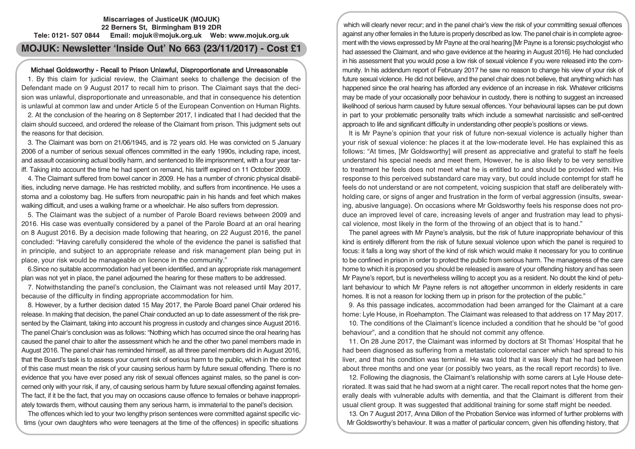#### **Miscarriages of JusticeUK (MOJUK) 22 Berners St, Birmingham B19 2DR Tele: 0121- 507 0844 Email: mojuk@mojuk.org.uk Web: www.mojuk.org.uk**

# **MOJUK: Newsletter 'Inside Out' No 663 (23/11/2017) - Cost £1**

#### Michael Goldsworthy - Recall to Prison Unlawful, Disproportionate and Unreasonable

1. By this claim for judicial review, the Claimant seeks to challenge the decision of the Defendant made on 9 August 2017 to recall him to prison. The Claimant says that the decision was unlawful, disproportionate and unreasonable, and that in consequence his detention is unlawful at common law and under Article 5 of the European Convention on Human Rights.

2. At the conclusion of the hearing on 8 September 2017, I indicated that I had decided that the claim should succeed, and ordered the release of the Claimant from prison. This judgment sets out the reasons for that decision.

3. The Claimant was born on 21/06/1945, and is 72 years old. He was convicted on 5 January 2006 of a number of serious sexual offences committed in the early 1990s, including rape, incest, and assault occasioning actual bodily harm, and sentenced to life imprisonment, with a four year tariff. Taking into account the time he had spent on remand, his tariff expired on 11 October 2009.

4. The Claimant suffered from bowel cancer in 2009. He has a number of chronic physical disabilities, including nerve damage. He has restricted mobility, and suffers from incontinence. He uses a stoma and a colostomy bag. He suffers from neuropathic pain in his hands and feet which makes walking difficult, and uses a walking frame or a wheelchair. He also suffers from depression.

5. The Claimant was the subject of a number of Parole Board reviews between 2009 and 2016. His case was eventually considered by a panel of the Parole Board at an oral hearing on 8 August 2016. By a decision made following that hearing, on 22 August 2016, the panel concluded: "Having carefully considered the whole of the evidence the panel is satisfied that in principle, and subject to an appropriate release and risk management plan being put in place, your risk would be manageable on licence in the community."

6.Since no suitable accommodation had yet been identified, and an appropriate risk management plan was not yet in place, the panel adjourned the hearing for these matters to be addressed.

7. Notwithstanding the panel's conclusion, the Claimant was not released until May 2017, because of the difficulty in finding appropriate accommodation for him.

8. However, by a further decision dated 15 May 2017, the Parole Board panel Chair ordered his release. In making that decision, the panel Chair conducted an up to date assessment of the risk presented by the Claimant, taking into account his progress in custody and changes since August 2016. The panel Chair's conclusion was as follows: "Nothing which has occurred since the oral hearing has caused the panel chair to alter the assessment which he and the other two panel members made in August 2016. The panel chair has reminded himself, as all three panel members did in August 2016, that the Board's task is to assess your current risk of serious harm to the public, which in the context of this case must mean the risk of your causing serious harm by future sexual offending. There is no evidence that you have ever posed any risk of sexual offences against males, so the panel is concerned only with your risk, if any, of causing serious harm by future sexual offending against females. The fact, if it be the fact, that you may on occasions cause offence to females or behave inappropriately towards them, without causing them any serious harm, is immaterial to the panel's decision.

The offences which led to your two lengthy prison sentences were committed against specific victims (your own daughters who were teenagers at the time of the offences) in specific situations

which will clearly never recur; and in the panel chair's view the risk of your committing sexual offences against any other females in the future is properly described as low. The panel chair is in complete agreement with the views expressed by Mr Payne at the oral hearing [Mr Payne is a forensic psychologist who had assessed the Claimant, and who gave evidence at the hearing in August 2016]. He had concluded in his assessment that you would pose a low risk of sexual violence if you were released into the community. In his addendum report of February 2017 he saw no reason to change his view of your risk of future sexual violence. He did not believe, and the panel chair does not believe, that anything which has happened since the oral hearing has afforded any evidence of an increase in risk. Whatever criticisms may be made of your occasionally poor behaviour in custody, there is nothing to suggest an increased likelihood of serious harm caused by future sexual offences. Your behavioural lapses can be put down in part to your problematic personality traits which include a somewhat narcissistic and self-centred approach to life and significant difficulty in understanding other people's positions or views.

It is Mr Payne's opinion that your risk of future non-sexual violence is actually higher than your risk of sexual violence: he places it at the low-moderate level. He has explained this as follows: "At times, [Mr Goldsworthy] will present as appreciative and grateful to staff he feels understand his special needs and meet them, However, he is also likely to be very sensitive to treatment he feels does not meet what he is entitled to and should be provided with. His response to this perceived substandard care may vary, but could include contempt for staff he feels do not understand or are not competent, voicing suspicion that staff are deliberately withholding care, or signs of anger and frustration in the form of verbal aggression (insults, swearing, abusive language). On occasions where Mr Goldsworthy feels his response does not produce an improved level of care, increasing levels of anger and frustration may lead to physical violence, most likely in the form of the throwing of an object that is to hand."

The panel agrees with Mr Payne's analysis, but the risk of future inappropriate behaviour of this kind is entirely different from the risk of future sexual violence upon which the panel is required to focus: it falls a long way short of the kind of risk which would make it necessary for you to continue to be confined in prison in order to protect the public from serious harm. The manageress of the care home to which it is proposed you should be released is aware of your offending history and has seen Mr Payne's report, but is nevertheless willing to accept you as a resident. No doubt the kind of petulant behaviour to which Mr Payne refers is not altogether uncommon in elderly residents in care homes. It is not a reason for locking them up in prison for the protection of the public."

9. As this passage indicates, accommodation had been arranged for the Claimant at a care home: Lyle House, in Roehampton. The Claimant was released to that address on 17 May 2017.

10. The conditions of the Claimant's licence included a condition that he should be "of good behaviour", and a condition that he should not commit any offence.

11. On 28 June 2017, the Claimant was informed by doctors at St Thomas' Hospital that he had been diagnosed as suffering from a metastatic colorectal cancer which had spread to his liver, and that his condition was terminal. He was told that it was likely that he had between about three months and one year (or possibly two years, as the recall report records) to live.

12. Following the diagnosis, the Claimant's relationship with some carers at Lyle House deteriorated. It was said that he had sworn at a night carer. The recall report notes that the home generally deals with vulnerable adults with dementia, and that the Claimant is different from their usual client group. It was suggested that additional training for some staff might be needed.

13. On 7 August 2017, Anna Dillon of the Probation Service was informed of further problems with Mr Goldsworthy's behaviour. It was a matter of particular concern, given his offending history, that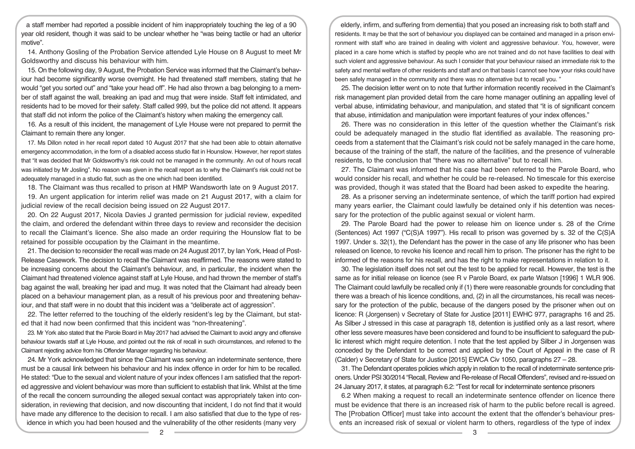a staff member had reported a possible incident of him inappropriately touching the leg of a 90 year old resident, though it was said to be unclear whether he "was being tactile or had an ulterior motive".

14. Anthony Gosling of the Probation Service attended Lyle House on 8 August to meet Mr Goldsworthy and discuss his behaviour with him.

15. On the following day, 9 August, the Probation Service was informed that the Claimant's behaviour had become significantly worse overnight. He had threatened staff members, stating that he would "get you sorted out" and "take your head off". He had also thrown a bag belonging to a member of staff against the wall, breaking an ipad and mug that were inside. Staff felt intimidated, and residents had to be moved for their safety. Staff called 999, but the police did not attend. It appears that staff did not inform the police of the Claimant's history when making the emergency call.

16. As a result of this incident, the management of Lyle House were not prepared to permit the Claimant to remain there any longer.

17. Ms Dillon noted in her recall report dated 10 August 2017 that she had been able to obtain alternative emergency accommodation, in the form of a disabled access studio flat in Hounslow. However, her report states that "it was decided that Mr Goldsworthy's risk could not be managed in the community. An out of hours recall was initiated by Mr Josling". No reason was given in the recall report as to why the Claimant's risk could not be adequately managed in a studio flat, such as the one which had been identified.

18. The Claimant was thus recalled to prison at HMP Wandsworth late on 9 August 2017.

19. An urgent application for interim relief was made on 21 August 2017, with a claim for judicial review of the recall decision being issued on 22 August 2017.

20. On 22 August 2017, Nicola Davies J granted permission for judicial review, expedited the claim, and ordered the defendant within three days to review and reconsider the decision to recall the Claimant's licence. She also made an order requiring the Hounslow flat to be retained for possible occupation by the Claimant in the meantime.

21. The decision to reconsider the recall was made on 24 August 2017, by Ian York, Head of Post-Release Casework. The decision to recall the Claimant was reaffirmed. The reasons were stated to be increasing concerns about the Claimant's behaviour, and, in particular, the incident when the Claimant had threatened violence against staff at Lyle House, and had thrown the member of staff's bag against the wall, breaking her ipad and mug. It was noted that the Claimant had already been placed on a behaviour management plan, as a result of his previous poor and threatening behaviour, and that staff were in no doubt that this incident was a "deliberate act of aggression".

22. The letter referred to the touching of the elderly resident's leg by the Claimant, but stated that it had now been confirmed that this incident was "non-threatening".

23. Mr York also stated that the Parole Board in May 2017 had advised the Claimant to avoid angry and offensive behaviour towards staff at Lyle House, and pointed out the risk of recall in such circumstances, and referred to the Claimant rejecting advice from his Offender Manager regarding his behaviour.

24. Mr York acknowledged that since the Claimant was serving an indeterminate sentence, there must be a causal link between his behaviour and his index offence in order for him to be recalled. He stated: "Due to the sexual and violent nature of your index offences I am satisfied that the reported aggressive and violent behaviour was more than sufficient to establish that link. Whilst at the time of the recall the concern surrounding the alleged sexual contact was appropriately taken into consideration, in reviewing that decision, and now discounting that incident, I do not find that it would have made any difference to the decision to recall. I am also satisfied that due to the type of residence in which you had been housed and the vulnerability of the other residents (many very

elderly, infirm, and suffering from dementia) that you posed an increasing risk to both staff and residents. It may be that the sort of behaviour you displayed can be contained and managed in a prison environment with staff who are trained in dealing with violent and aggressive behaviour. You, however, were placed in a care home which is staffed by people who are not trained and do not have facilities to deal with such violent and aggressive behaviour. As such I consider that your behaviour raised an immediate risk to the safety and mental welfare of other residents and staff and on that basis I cannot see how your risks could have been safely managed in the community and there was no alternative but to recall you."

25. The decision letter went on to note that further information recently received in the Claimant's risk management plan provided detail from the care home manager outlining an appalling level of verbal abuse, intimidating behaviour, and manipulation, and stated that "it is of significant concern that abuse, intimidation and manipulation were important features of your index offences."

26. There was no consideration in this letter of the question whether the Claimant's risk could be adequately managed in the studio flat identified as available. The reasoning proceeds from a statement that the Claimant's risk could not be safely managed in the care home, because of the training of the staff, the nature of the facilities, and the presence of vulnerable residents, to the conclusion that "there was no alternative" but to recall him.

27. The Claimant was informed that his case had been referred to the Parole Board, who would consider his recall, and whether he could be re-released. No timescale for this exercise was provided, though it was stated that the Board had been asked to expedite the hearing.

28. As a prisoner serving an indeterminate sentence, of which the tariff portion had expired many years earlier, the Claimant could lawfully be detained only if his detention was necessary for the protection of the public against sexual or violent harm.

29. The Parole Board had the power to release him on licence under s. 28 of the Crime (Sentences) Act 1997 ("C(S)A 1997"). His recall to prison was governed by s. 32 of the C(S)A 1997. Under s. 32(1), the Defendant has the power in the case of any life prisoner who has been released on licence, to revoke his licence and recall him to prison. The prisoner has the right to be informed of the reasons for his recall, and has the right to make representations in relation to it.

30. The legislation itself does not set out the test to be applied for recall. However, the test is the same as for initial release on licence (see R v Parole Board, ex parte Watson [1996] 1 WLR 906. The Claimant could lawfully be recalled only if (1) there were reasonable grounds for concluding that there was a breach of his licence conditions, and, (2) in all the circumstances, his recall was necessary for the protection of the public, because of the dangers posed by the prisoner when out on licence: R (Jorgensen) v Secretary of State for Justice [2011] EWHC 977, paragraphs 16 and 25. As Silber J stressed in this case at paragraph 18, detention is justified only as a last resort, where other less severe measures have been considered and found to be insufficient to safeguard the public interest which might require detention. I note that the test applied by Silber J in Jorgensen was conceded by the Defendant to be correct and applied by the Court of Appeal in the case of R (Calder) v Secretary of State for Justice [2015] EWCA Civ 1050, paragraphs 27 – 28.

31. The Defendant operates policies which apply in relation to the recall of indeterminate sentence prisoners. Under PSI 30/2014 "Recall, Review and Re-release of Recall Offenders", revised and re-issued on 24 January 2017, it states, at paragraph 6.2: "Test for recall for indeterminate sentence prisoners

6.2 When making a request to recall an indeterminate sentence offender on licence there must be evidence that there is an increased risk of harm to the public before recall is agreed. The [Probation Officer] must take into account the extent that the offender's behaviour presents an increased risk of sexual or violent harm to others, regardless of the type of index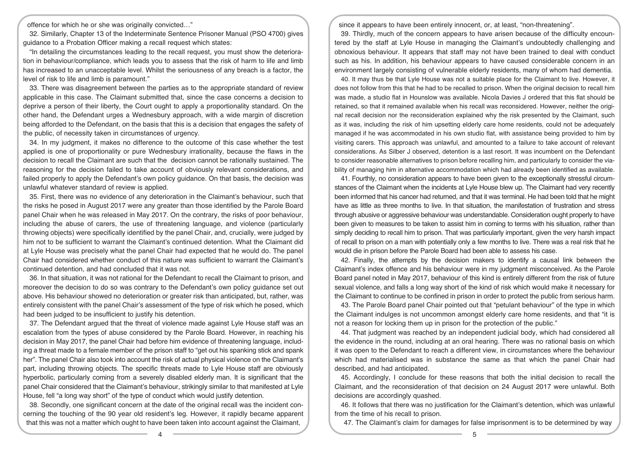offence for which he or she was originally convicted…"

32. Similarly, Chapter 13 of the Indeterminate Sentence Prisoner Manual (PSO 4700) gives guidance to a Probation Officer making a recall request which states:

"In detailing the circumstances leading to the recall request, you must show the deterioration in behaviour/compliance, which leads you to assess that the risk of harm to life and limb has increased to an unacceptable level. Whilst the seriousness of any breach is a factor, the level of risk to life and limb is paramount."

33. There was disagreement between the parties as to the appropriate standard of review applicable in this case. The Claimant submitted that, since the case concerns a decision to deprive a person of their liberty, the Court ought to apply a proportionality standard. On the other hand, the Defendant urges a Wednesbury approach, with a wide margin of discretion being afforded to the Defendant, on the basis that this is a decision that engages the safety of the public, of necessity taken in circumstances of urgency.

34. In my judgment, it makes no difference to the outcome of this case whether the test applied is one of proportionality or pure Wednesbury irrationality, because the flaws in the decision to recall the Claimant are such that the decision cannot be rationally sustained. The reasoning for the decision failed to take account of obviously relevant considerations, and failed properly to apply the Defendant's own policy guidance. On that basis, the decision was unlawful whatever standard of review is applied.

35. First, there was no evidence of any deterioration in the Claimant's behaviour, such that the risks he posed in August 2017 were any greater than those identified by the Parole Board panel Chair when he was released in May 2017. On the contrary, the risks of poor behaviour, including the abuse of carers, the use of threatening language, and violence (particularly throwing objects) were specifically identified by the panel Chair, and, crucially, were judged by him not to be sufficient to warrant the Claimant's continued detention. What the Claimant did at Lyle House was precisely what the panel Chair had expected that he would do. The panel Chair had considered whether conduct of this nature was sufficient to warrant the Claimant's continued detention, and had concluded that it was not.

36. In that situation, it was not rational for the Defendant to recall the Claimant to prison, and moreover the decision to do so was contrary to the Defendant's own policy guidance set out above. His behaviour showed no deterioration or greater risk than anticipated, but, rather, was entirely consistent with the panel Chair's assessment of the type of risk which he posed, which had been judged to be insufficient to justify his detention.

37. The Defendant argued that the threat of violence made against Lyle House staff was an escalation from the types of abuse considered by the Parole Board. However, in reaching his decision in May 2017, the panel Chair had before him evidence of threatening language, including a threat made to a female member of the prison staff to "get out his spanking stick and spank her". The panel Chair also took into account the risk of actual physical violence on the Claimant's part, including throwing objects. The specific threats made to Lyle House staff are obviously hyperbolic, particularly coming from a severely disabled elderly man. It is significant that the panel Chair considered that the Claimant's behaviour, strikingly similar to that manifested at Lyle House, fell "a long way short" of the type of conduct which would justify detention.

38. Secondly, one significant concern at the date of the original recall was the incident concerning the touching of the 90 year old resident's leg. However, it rapidly became apparent that this was not a matter which ought to have been taken into account against the Claimant,

since it appears to have been entirely innocent, or, at least, "non-threatening".

39. Thirdly, much of the concern appears to have arisen because of the difficulty encountered by the staff at Lyle House in managing the Claimant's undoubtedly challenging and obnoxious behaviour. It appears that staff may not have been trained to deal with conduct such as his. In addition, his behaviour appears to have caused considerable concern in an environment largely consisting of vulnerable elderly residents, many of whom had dementia.

40. It may thus be that Lyle House was not a suitable place for the Claimant to live. However, it does not follow from this that he had to be recalled to prison. When the original decision to recall him was made, a studio flat in Hounslow was available. Nicola Davies J ordered that this flat should be retained, so that it remained available when his recall was reconsidered. However, neither the original recall decision nor the reconsideration explained why the risk presented by the Claimant, such as it was, including the risk of him upsetting elderly care home residents, could not be adequately managed if he was accommodated in his own studio flat, with assistance being provided to him by visiting carers. This approach was unlawful, and amounted to a failure to take account of relevant considerations. As Silber J observed, detention is a last resort. It was incumbent on the Defendant to consider reasonable alternatives to prison before recalling him, and particularly to consider the viability of managing him in alternative accommodation which had already been identified as available.

41. Fourthly, no consideration appears to have been given to the exceptionally stressful circumstances of the Claimant when the incidents at Lyle House blew up. The Claimant had very recently been informed that his cancer had returned, and that it was terminal. He had been told that he might have as little as three months to live. In that situation, the manifestation of frustration and stress through abusive or aggressive behaviour was understandable. Consideration ought properly to have been given to measures to be taken to assist him in coming to terms with his situation, rather than simply deciding to recall him to prison. That was particularly important, given the very harsh impact of recall to prison on a man with potentially only a few months to live. There was a real risk that he would die in prison before the Parole Board had been able to assess his case.

42. Finally, the attempts by the decision makers to identify a causal link between the Claimant's index offence and his behaviour were in my judgment misconceived. As the Parole Board panel noted in May 2017, behaviour of this kind is entirely different from the risk of future sexual violence, and falls a long way short of the kind of risk which would make it necessary for the Claimant to continue to be confined in prison in order to protect the public from serious harm.

43. The Parole Board panel Chair pointed out that "petulant behaviour" of the type in which the Claimant indulges is not uncommon amongst elderly care home residents, and that "it is not a reason for locking them up in prison for the protection of the public."

44. That judgment was reached by an independent judicial body, which had considered all the evidence in the round, including at an oral hearing. There was no rational basis on which it was open to the Defendant to reach a different view, in circumstances where the behaviour which had materialised was in substance the same as that which the panel Chair had described, and had anticipated.

45. Accordingly, I conclude for these reasons that both the initial decision to recall the Claimant, and the reconsideration of that decision on 24 August 2017 were unlawful. Both decisions are accordingly quashed.

46. It follows that there was no justification for the Claimant's detention, which was unlawful from the time of his recall to prison.

47. The Claimant's claim for damages for false imprisonment is to be determined by way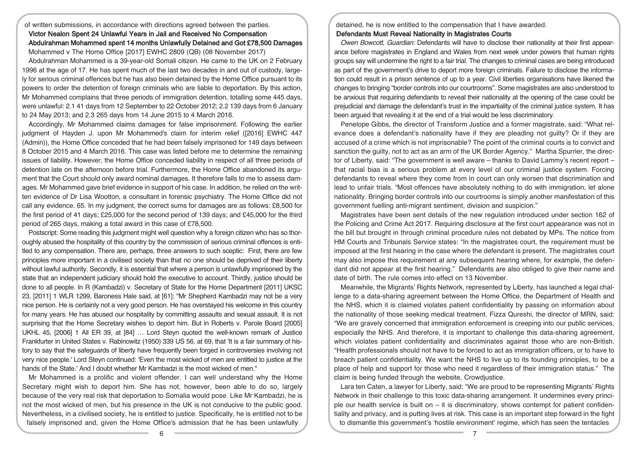# of written submissions, in accordance with directions agreed between the parties. Victor Nealon Spent 24 Unlawful Years in Jail and Received No Compensation Abdulrahman Mohammed spent 14 months Unlawfully Detained and Got £78,500 Damages Mohammed v The Home Office [2017] EWHC 2809 (QB) (08 November 2017)

Abdulrahman Mohammed is a 39-year-old Somali citizen. He came to the UK on 2 February 1996 at the age of 17. He has spent much of the last two decades in and out of custody, largely for serious criminal offences but he has also been detained by the Home Office pursuant to its powers to order the detention of foreign criminals who are liable to deportation. By this action, Mr Mohammed complains that three periods of immigration detention, totalling some 445 days, were unlawful: 2.1 41 days from 12 September to 22 October 2012; 2.2 139 days from 6 January to 24 May 2013; and 2.3 265 days from 14 June 2015 to 4 March 2016.

Accordingly, Mr Mohammed claims damages for false imprisonment. Following the earlier judgment of Hayden J. upon Mr Mohammed's claim for interim relief ([2016] EWHC 447 (Admin)), the Home Office conceded that he had been falsely imprisoned for 149 days between 8 October 2015 and 4 March 2016. This case was listed before me to determine the remaining issues of liability. However, the Home Office conceded liability in respect of all three periods of detention late on the afternoon before trial. Furthermore, the Home Office abandoned its argument that the Court should only award nominal damages. It therefore falls to me to assess damages. Mr Mohammed gave brief evidence in support of his case. In addition, he relied on the written evidence of Dr Lisa Wootton, a consultant in forensic psychiatry. The Home Office did not call any evidence. 65. In my judgment, the correct sums for damages are as follows: £8,500 for the first period of 41 days; £25,000 for the second period of 139 days; and £45,000 for the third period of 265 days, making a total award in this case of £78,500.

Postscript: Some reading this judgment might well question why a foreign citizen who has so thoroughly abused the hospitality of this country by the commission of serious criminal offences is entitled to any compensation. There are, perhaps, three answers to such sceptic: First, there are few principles more important in a civilised society than that no one should be deprived of their liberty without lawful authority. Secondly, it is essential that where a person is unlawfully imprisoned by the state that an independent judiciary should hold the executive to account. Thirdly, justice should be done to all people. In R (Kambadzi) v. Secretary of State for the Home Department [2011] UKSC 23, [2011] 1 WLR 1299, Baroness Hale said, at [61]: "Mr Shepherd Kambadzi may not be a very nice person. He is certainly not a very good person. He has overstayed his welcome in this country for many years. He has abused our hospitality by committing assaults and sexual assault. It is not surprising that the Home Secretary wishes to deport him. But in Roberts v. Parole Board [2005] UKHL 45, [2006] 1 All ER 39, at [84] … Lord Steyn quoted the well-known remark of Justice Frankfurter in United States v. Rabinowitz (1950) 339 US 56, at 69, that 'It is a fair summary of history to say that the safeguards of liberty have frequently been forged in controversies involving not very nice people.' Lord Steyn continued: 'Even the most wicked of men are entitled to justice at the hands of the State.' And I doubt whether Mr Kambadzi is the most wicked of men."

Mr Mohammed is a prolific and violent offender. I can well understand why the Home Secretary might wish to deport him. She has not, however, been able to do so, largely because of the very real risk that deportation to Somalia would pose. Like Mr Kambadzi, he is not the most wicked of men, but his presence in the UK is not conducive to the public good. Nevertheless, in a civilised society, he is entitled to justice. Specifically, he is entitled not to be falsely imprisoned and, given the Home Office's admission that he has been unlawfully

detained, he is now entitled to the compensation that I have awarded. Defendants Must Reveal Nationality in Magistrates Courts

Owen Bowcott, Guardian: Defendants will have to disclose their nationality at their first appearance before magistrates in England and Wales from next week under powers that human rights groups say will undermine the right to a fair trial. The changes to criminal cases are being introduced as part of the government's drive to deport more foreign criminals. Failure to disclose the information could result in a prison sentence of up to a year. Civil liberties organisations have likened the changes to bringing "border controls into our courtrooms". Some magistrates are also understood to be anxious that requiring defendants to reveal their nationality at the opening of the case could be prejudicial and damage the defendant's trust in the impartiality of the criminal justice system. It has been arqued that revealing it at the end of a trial would be less discriminatory.

Penelope Gibbs, the director of Transform Justice and a former magistrate, said: "What relevance does a defendant's nationality have if they are pleading not guilty? Or if they are accused of a crime which is not imprisonable? The point of the criminal courts is to convict and sanction the guilty, not to act as an arm of the UK Border Agency." Martha Spurrier, the director of Liberty, said: "The government is well aware – thanks to David Lammy's recent report – that racial bias is a serious problem at every level of our criminal justice system. Forcing defendants to reveal where they come from in court can only worsen that discrimination and lead to unfair trials. "Most offences have absolutely nothing to do with immigration, let alone nationality. Bringing border controls into our courtrooms is simply another manifestation of this government fuelling anti-migrant sentiment, division and suspicion."

Magistrates have been sent details of the new regulation introduced under section 162 of the Policing and Crime Act 2017. Requiring disclosure at the first court appearance was not in the bill but brought in through criminal procedure rules not debated by MPs. The notice from HM Courts and Tribunals Service states: "In the magistrates court, the requirement must be imposed at the first hearing in the case where the defendant is present. The magistrates court may also impose this requirement at any subsequent hearing where, for example, the defendant did not appear at the first hearing." Defendants are also obliged to give their name and date of birth. The rule comes into effect on 13 November.

Meanwhile, the Migrants' Rights Network, represented by Liberty, has launched a legal challenge to a data-sharing agreement between the Home Office, the Department of Health and the NHS, which it is claimed violates patient confidentiality by passing on information about the nationality of those seeking medical treatment. Fizza Qureshi, the director of MRN, said: "We are gravely concerned that immigration enforcement is creeping into our public services, especially the NHS. And therefore, it is important to challenge this data-sharing agreement, which violates patient confidentiality and discriminates against those who are non-British. "Health professionals should not have to be forced to act as immigration officers, or to have to breach patient confidentiality. We want the NHS to live up to its founding principles, to be a place of help and support for those who need it regardless of their immigration status." The claim is being funded through the website, Crowdjustice.

Lara ten Caten, a lawyer for Liberty, said: "We are proud to be representing Migrants' Rights Network in their challenge to this toxic data-sharing arrangement. It undermines every principle our health service is built on  $-$  it is discriminatory, shows contempt for patient confidentiality and privacy, and is putting lives at risk. This case is an important step forward in the fight to dismantle this government's 'hostile environment' regime, which has seen the tentacles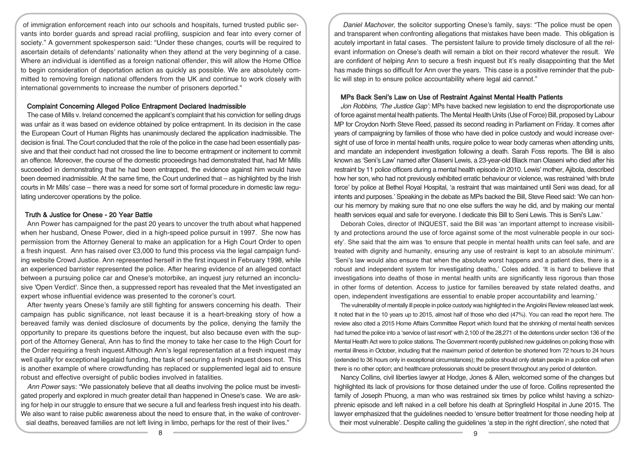of immigration enforcement reach into our schools and hospitals, turned trusted public servants into border guards and spread racial profiling, suspicion and fear into every corner of society." A government spokesperson said: "Under these changes, courts will be required to ascertain details of defendants' nationality when they attend at the very beginning of a case. Where an individual is identified as a foreign national offender, this will allow the Home Office to begin consideration of deportation action as quickly as possible. We are absolutely committed to removing foreign national offenders from the UK and continue to work closely with international governments to increase the number of prisoners deported."

# Complaint Concerning Alleged Police Entrapment Declared Inadmissible

The case of Mills v. Ireland concerned the applicant's complaint that his conviction for selling drugs was unfair as it was based on evidence obtained by police entrapment. In its decision in the case the European Court of Human Rights has unanimously declared the application inadmissible. The decision is final. The Court concluded that the role of the police in the case had been essentially passive and that their conduct had not crossed the line to become entrapment or incitement to commit an offence. Moreover, the course of the domestic proceedings had demonstrated that, had Mr Mills succeeded in demonstrating that he had been entrapped, the evidence against him would have been deemed inadmissible. At the same time, the Court underlined that – as highlighted by the Irish courts in Mr Mills' case – there was a need for some sort of formal procedure in domestic law regulating undercover operations by the police.

#### Truth & Justice for Onese - 20 Year Battle

Ann Power has campaigned for the past 20 years to uncover the truth about what happened when her husband, Onese Power, died in a high-speed police pursuit in 1997. She now has permission from the Attorney General to make an application for a High Court Order to open a fresh inquest. Ann has raised over £3,000 to fund this process via the legal campaign funding website Crowd Justice. Ann represented herself in the first inquest in February 1998, while an experienced barrister represented the police. After hearing evidence of an alleged contact between a pursuing police car and Onese's motorbike, an inquest jury returned an inconclusive 'Open Verdict'. Since then, a suppressed report has revealed that the Met investigated an expert whose influential evidence was presented to the coroner's court.

After twenty years Onese's family are still fighting for answers concerning his death. Their campaign has public significance, not least because it is a heart-breaking story of how a bereaved family was denied disclosure of documents by the police, denying the family the opportunity to prepare its questions before the inquest, but also because even with the support of the Attorney General, Ann has to find the money to take her case to the High Court for the Order requiring a fresh inquest.Although Ann's legal representation at a fresh inquest may well qualify for exceptional legalaid funding, the task of securing a fresh inquest does not. This is another example of where crowdfunding has replaced or supplemented legal aid to ensure robust and effective oversight of public bodies involved in fatalities.

Ann Power says: "We passionately believe that all deaths involving the police must be investigated properly and explored in much greater detail than happened in Onese's case. We are asking for help in our struggle to ensure that we secure a full and fearless fresh inquest into his death. We also want to raise public awareness about the need to ensure that, in the wake of controversial deaths, bereaved families are not left living in limbo, perhaps for the rest of their lives."

Daniel Machover, the solicitor supporting Onese's family, says: "The police must be open and transparent when confronting allegations that mistakes have been made. This obligation is acutely important in fatal cases. The persistent failure to provide timely disclosure of all the relevant information on Onese's death will remain a blot on their record whatever the result. We are confident of helping Ann to secure a fresh inquest but it's really disappointing that the Met has made things so difficult for Ann over the years. This case is a positive reminder that the public will step in to ensure police accountability where legal aid cannot."

## MPs Back Seni's Law on Use of Restraint Against Mental Health Patients

Jon Robbins, 'The Justice Gap': MPs have backed new legislation to end the disproportionate use of force against mental health patients. The Mental Health Units (Use of Force) Bill, proposed by Labour MP for Croydon North Steve Reed, passed its second reading in Parliament on Friday. It comes after years of campaigning by families of those who have died in police custody and would increase oversight of use of force in mental health units, require police to wear body cameras when attending units, and mandate an independent investigation following a death. Sarah Foss reports. The Bill is also known as 'Seni's Law' named after Olaseni Lewis, a 23-year-old Black man Olaseni who died after his restraint by 11 police officers during a mental health episode in 2010. Lewis' mother, Ajibola, described how her son, who had not previously exhibited erratic behaviour or violence, was restrained 'with brute force' by police at Bethel Royal Hospital, 'a restraint that was maintained until Seni was dead, for all intents and purposes.' Speaking in the debate as MPs backed the Bill, Steve Reed said: 'We can honour his memory by making sure that no one else suffers the way he did, and by making our mental health services equal and safe for everyone. I dedicate this Bill to Seni Lewis. This is Seni's Law.'

Deborah Coles, director of INQUEST, said the Bill was 'an important attempt to increase visibility and protections around the use of force against some of the most vulnerable people in our society'. She said that the aim was 'to ensure that people in mental health units can feel safe, and are treated with dignity and humanity, ensuring any use of restraint is kept to an absolute minimum'. 'Seni's law would also ensure that when the absolute worst happens and a patient dies, there is a robust and independent system for investigating deaths,' Coles added. 'It is hard to believe that investigations into deaths of those in mental health units are significantly less rigorous than those in other forms of detention. Access to justice for families bereaved by state related deaths, and open, independent investigations are essential to enable proper accountability and learning.'

The vulnerability of mentally ill people in police custody was highlighted in the Angiolini Review released last week. It noted that in the 10 years up to 2015, almost half of those who died (47%). You can read the report here. The review also cited a 2015 Home Affairs Committee Report which found that the shrinking of mental health services had turned the police into a 'service of last resort' with 2,100 of the 28,271 of the detentions under section 136 of the Mental Health Act were to police stations. The Government recently published new guidelines on policing those with mental illness in October, including that the maximum period of detention be shortened from 72 hours to 24 hours (extended to 36 hours only in exceptional circumstances); the police should only detain people in a police cell when there is no other option; and healthcare professionals should be present throughout any period of detention.

Nancy Collins, civil liberties lawyer at Hodge, Jones & Allen, welcomed some of the changes but highlighted its lack of provisions for those detained under the use of force. Collins represented the family of Joseph Phuong, a man who was restrained six times by police whilst having a schizophrenic episode and left naked in a cell before his death at Springfield Hospital in June 2015. The lawyer emphasized that the guidelines needed to 'ensure better treatment for those needing help at their most vulnerable'. Despite calling the guidelines 'a step in the right direction', she noted that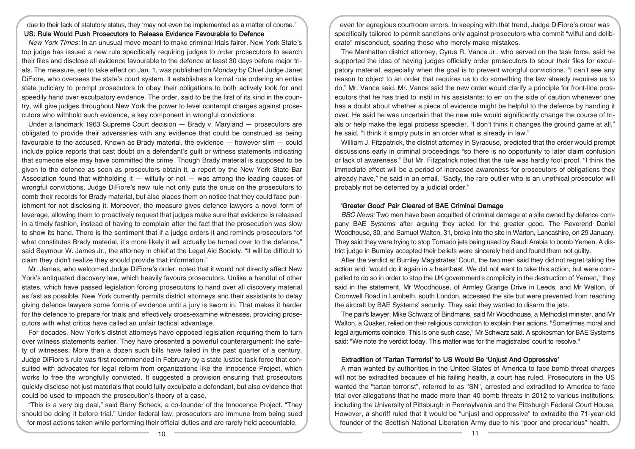# due to their lack of statutory status, they 'may not even be implemented as a matter of course.' US: Rule Would Push Prosecutors to Release Evidence Favourable to Defence

New York Times: In an unusual move meant to make criminal trials fairer, New York State's top judge has issued a new rule specifically requiring judges to order prosecutors to search their files and disclose all evidence favourable to the defence at least 30 days before major trials. The measure, set to take effect on Jan. 1, was published on Monday by Chief Judge Janet DiFiore, who oversees the state's court system. It establishes a formal rule ordering an entire state judiciary to prompt prosecutors to obey their obligations to both actively look for and speedily hand over exculpatory evidence. The order, said to be the first of its kind in the country, will give judges throughout New York the power to level contempt charges against prosecutors who withhold such evidence, a key component in wrongful convictions.

Under a landmark 1963 Supreme Court decision — Brady v. Maryland — prosecutors are obligated to provide their adversaries with any evidence that could be construed as being favourable to the accused. Known as Brady material, the evidence — however slim — could include police reports that cast doubt on a defendant's guilt or witness statements indicating that someone else may have committed the crime. Though Brady material is supposed to be given to the defence as soon as prosecutors obtain it, a report by the New York State Bar Association found that withholding it  $-$  wilfully or not  $-$  was among the leading causes of wrongful convictions. Judge DiFiore's new rule not only puts the onus on the prosecutors to comb their records for Brady material, but also places them on notice that they could face punishment for not disclosing it. Moreover, the measure gives defence lawyers a novel form of leverage, allowing them to proactively request that judges make sure that evidence is released in a timely fashion, instead of having to complain after the fact that the prosecution was slow to show its hand. There is the sentiment that if a judge orders it and reminds prosecutors "of what constitutes Brady material, it's more likely it will actually be turned over to the defence," said Seymour W. James Jr., the attorney in chief at the Legal Aid Society. "It will be difficult to claim they didn't realize they should provide that information."

Mr. James, who welcomed Judge DiFiore's order, noted that it would not directly affect New York's antiquated discovery law, which heavily favours prosecutors. Unlike a handful of other states, which have passed legislation forcing prosecutors to hand over all discovery material as fast as possible, New York currently permits district attorneys and their assistants to delay giving defence lawyers some forms of evidence until a jury is sworn in. That makes it harder for the defence to prepare for trials and effectively cross-examine witnesses, providing prosecutors with what critics have called an unfair tactical advantage.

For decades, New York's district attorneys have opposed legislation requiring them to turn over witness statements earlier. They have presented a powerful counterargument: the safety of witnesses. More than a dozen such bills have failed in the past quarter of a century. Judge DiFiore's rule was first recommended in February by a state justice task force that consulted with advocates for legal reform from organizations like the Innocence Project, which works to free the wrongfully convicted. It suggested a provision ensuring that prosecutors quickly disclose not just materials that could fully exculpate a defendant, but also evidence that could be used to impeach the prosecution's theory of a case.

"This is a very big deal," said Barry Scheck, a co-founder of the Innocence Project. "They should be doing it before trial." Under federal law, prosecutors are immune from being sued for most actions taken while performing their official duties and are rarely held accountable,

even for egregious courtroom errors. In keeping with that trend, Judge DiFiore's order was specifically tailored to permit sanctions only against prosecutors who commit "wilful and deliberate" misconduct, sparing those who merely make mistakes.

The Manhattan district attorney, Cyrus R. Vance Jr., who served on the task force, said he supported the idea of having judges officially order prosecutors to scour their files for exculpatory material, especially when the goal is to prevent wrongful convictions. "I can't see any reason to object to an order that requires us to do something the law already requires us to do," Mr. Vance said. Mr. Vance said the new order would clarify a principle for front-line prosecutors that he has tried to instil in his assistants: to err on the side of caution whenever one has a doubt about whether a piece of evidence might be helpful to the defence by handing it over. He said he was uncertain that the new rule would significantly change the course of trials or help make the legal process speedier. "I don't think it changes the ground game at all," he said. "I think it simply puts in an order what is already in law."

William J. Fitzpatrick, the district attorney in Syracuse, predicted that the order would prompt discussions early in criminal proceedings "so there is no opportunity to later claim confusion or lack of awareness." But Mr. Fitzpatrick noted that the rule was hardly fool proof. "I think the immediate effect will be a period of increased awareness for prosecutors of obligations they already have," he said in an email. "Sadly, the rare outlier who is an unethical prosecutor will probably not be deterred by a judicial order."

# 'Greater Good' Pair Cleared of BAE Criminal Damage

BBC News: Two men have been acquitted of criminal damage at a site owned by defence company BAE Systems after arguing they acted for the greater good. The Reverend Daniel Woodhouse, 30, and Samuel Walton, 31, broke into the site in Warton, Lancashire, on 29 January. They said they were trying to stop Tornado jets being used by Saudi Arabia to bomb Yemen. A district judge in Burnley accepted their beliefs were sincerely held and found them not guilty.

After the verdict at Burnley Magistrates' Court, the two men said they did not regret taking the action and "would do it again in a heartbeat. We did not want to take this action, but were compelled to do so in order to stop the UK government's complicity in the destruction of Yemen," they said in the statement. Mr Woodhouse, of Armley Grange Drive in Leeds, and Mr Walton, of Cromwell Road in Lambeth, south London, accessed the site but were prevented from reaching the aircraft by BAE Systems' security. They said they wanted to disarm the jets.

The pair's lawyer, Mike Schwarz of Bindmans, said Mr Woodhouse, a Methodist minister, and Mr Walton, a Quaker, relied on their religious conviction to explain their actions. "Sometimes moral and legal arguments coincide. This is one such case," Mr Schwarz said. A spokesman for BAE Systems said: "We note the verdict today. This matter was for the magistrates' court to resolve."

#### Extradition of 'Tartan Terrorist' to US Would Be 'Unjust And Oppressive'

A man wanted by authorities in the United States of America to face bomb threat charges will not be extradited because of his failing health, a court has ruled. Prosecutors in the US wanted the "tartan terrorist", referred to as "SN", arrested and extradited to America to face trial over allegations that he made more than 40 bomb threats in 2012 to various institutions, including the University of Pittsburgh in Pennsylvania and the Pittsburgh Federal Court House. However, a sheriff ruled that it would be "unjust and oppressive" to extradite the 71-year-old founder of the Scottish National Liberation Army due to his "poor and precarious" health.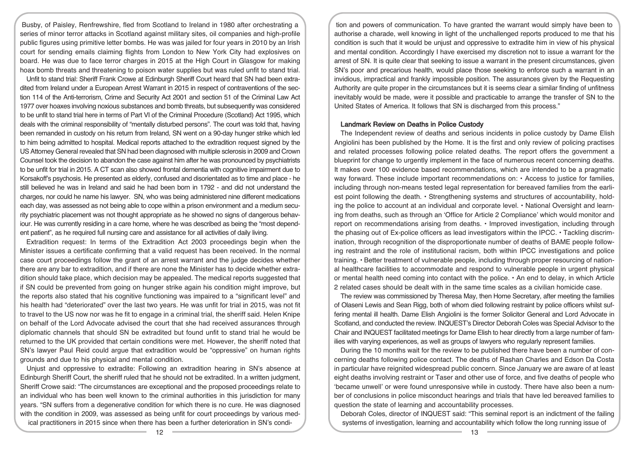Busby, of Paisley, Renfrewshire, fled from Scotland to Ireland in 1980 after orchestrating a series of minor terror attacks in Scotland against military sites, oil companies and high-profile public figures using primitive letter bombs. He was was jailed for four years in 2010 by an Irish court for sending emails claiming flights from London to New York City had explosives on board. He was due to face terror charges in 2015 at the High Court in Glasgow for making hoax bomb threats and threatening to poison water supplies but was ruled unfit to stand trial.

Unfit to stand trial: Sheriff Frank Crowe at Edinburgh Sheriff Court heard that SN had been extradited from Ireland under a European Arrest Warrant in 2015 in respect of contraventions of the section 114 of the Anti-terrorism, Crime and Security Act 2001 and section 51 of the Criminal Law Act 1977 over hoaxes involving noxious substances and bomb threats, but subsequently was considered to be unfit to stand trial here in terms of Part VI of the Criminal Procedure (Scotland) Act 1995, which deals with the criminal responsibility of "mentally disturbed persons". The court was told that, having been remanded in custody on his return from Ireland, SN went on a 90-day hunger strike which led to him being admitted to hospital. Medical reports attached to the extradition request signed by the US Attorney General revealed that SN had been diagnosed with multiple sclerosis in 2009 and Crown Counsel took the decision to abandon the case against him after he was pronounced by psychiatrists to be unfit for trial in 2015. A CT scan also showed frontal dementia with cognitive impairment due to Korsakoff's psychosis. He presented as elderly, confused and disorientated as to time and place - he still believed he was in Ireland and said he had been born in 1792 - and did not understand the charges, nor could he name his lawyer. SN, who was being administered nine different medications each day, was assessed as not being able to cope within a prison environment and a medium security psychiatric placement was not thought appropriate as he showed no signs of dangerous behaviour. He was currently residing in a care home, where he was described as being the "most dependent patient", as he required full nursing care and assistance for all activities of daily living.

Extradition request: In terms of the Extradition Act 2003 proceedings begin when the Minister issues a certificate confirming that a valid request has been received. In the normal case court proceedings follow the grant of an arrest warrant and the judge decides whether there are any bar to extradition, and if there are none the Minister has to decide whether extradition should take place, which decision may be appealed. The medical reports suggested that if SN could be prevented from going on hunger strike again his condition might improve, but the reports also stated that his cognitive functioning was impaired to a "significant level" and his health had "deteriorated" over the last two years. He was unfit for trial in 2015, was not fit to travel to the US now nor was he fit to engage in a criminal trial, the sheriff said. Helen Knipe on behalf of the Lord Advocate advised the court that she had received assurances through diplomatic channels that should SN be extradited but found unfit to stand trial he would be returned to the UK provided that certain conditions were met. However, the sheriff noted that SN's lawyer Paul Reid could argue that extradition would be "oppressive" on human rights grounds and due to his physical and mental condition.

Unjust and oppressive to extradite: Following an extradition hearing in SN's absence at Edinburgh Sheriff Court, the sheriff ruled that he should not be extradited. In a written judgment, Sheriff Crowe said: "The circumstances are exceptional and the proposed proceedings relate to an individual who has been well known to the criminal authorities in this jurisdiction for many years. "SN suffers from a degenerative condition for which there is no cure. He was diagnosed with the condition in 2009, was assessed as being unfit for court proceedings by various medical practitioners in 2015 since when there has been a further deterioration in SN's condi-

tion and powers of communication. To have granted the warrant would simply have been to authorise a charade, well knowing in light of the unchallenged reports produced to me that his condition is such that it would be unjust and oppressive to extradite him in view of his physical and mental condition. Accordingly I have exercised my discretion not to issue a warrant for the arrest of SN. It is quite clear that seeking to issue a warrant in the present circumstances, given SN's poor and precarious health, would place those seeking to enforce such a warrant in an invidious, impractical and frankly impossible position. The assurances given by the Requesting Authority are quite proper in the circumstances but it is seems clear a similar finding of unfitness inevitably would be made, were it possible and practicable to arrange the transfer of SN to the United States of America. It follows that SN is discharged from this process."

### Landmark Review on Deaths in Police Custody

The Independent review of deaths and serious incidents in police custody by Dame Elish Angiolini has been published by the Home. It is the first and only review of policing practises and related processes following police related deaths. The report offers the government a blueprint for change to urgently implement in the face of numerous recent concerning deaths. It makes over 100 evidence based recommendations, which are intended to be a pragmatic way forward. These include important recommendations on: • Access to justice for families, including through non-means tested legal representation for bereaved families from the earliest point following the death. • Strengthening systems and structures of accountability, holding the police to account at an individual and corporate level. • National Oversight and learning from deaths, such as through an 'Office for Article 2 Compliance' which would monitor and report on recommendations arising from deaths. • Improved investigation, including through the phasing out of Ex-police officers as lead investigators within the IPCC. • Tackling discrimination, through recognition of the disproportionate number of deaths of BAME people following restraint and the role of institutional racism, both within IPCC investigations and police training. • Better treatment of vulnerable people, including through proper resourcing of national healthcare facilities to accommodate and respond to vulnerable people in urgent physical or mental health need coming into contact with the police. • An end to delay, in which Article 2 related cases should be dealt with in the same time scales as a civilian homicide case.

The review was commissioned by Theresa May, then Home Secretary, after meeting the families of Olaseni Lewis and Sean Rigg, both of whom died following restraint by police officers whilst suffering mental ill health. Dame Elish Angiolini is the former Solicitor General and Lord Advocate in Scotland, and conducted the review. INQUEST's Director Deborah Coles was Special Advisor to the Chair and INQUEST facilitated meetings for Dame Elish to hear directly from a large number of families with varying experiences, as well as groups of lawyers who regularly represent families.

During the 10 months wait for the review to be published there have been a number of concerning deaths following police contact. The deaths of Rashan Charles and Edson Da Costa in particular have reignited widespread public concern. Since January we are aware of at least eight deaths involving restraint or Taser and other use of force, and five deaths of people who 'became unwell' or were found unresponsive while in custody. There have also been a number of conclusions in police misconduct hearings and trials that have led bereaved families to question the state of learning and accountability processes.

Deborah Coles, director of INQUEST said: "This seminal report is an indictment of the failing systems of investigation, learning and accountability which follow the long running issue of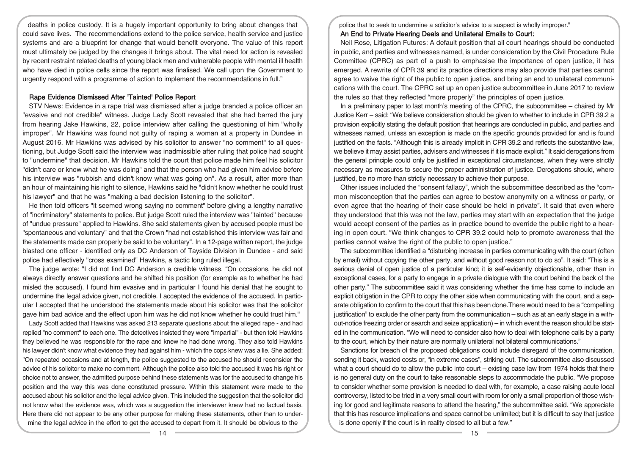deaths in police custody. It is a hugely important opportunity to bring about changes that could save lives. The recommendations extend to the police service, health service and justice systems and are a blueprint for change that would benefit everyone. The value of this report must ultimately be judged by the changes it brings about. The vital need for action is revealed by recent restraint related deaths of young black men and vulnerable people with mental ill health who have died in police cells since the report was finalised. We call upon the Government to urgently respond with a programme of action to implement the recommendations in full."

# Rape Evidence Dismissed After 'Tainted' Police Report

STV News: Evidence in a rape trial was dismissed after a judge branded a police officer an "evasive and not credible" witness. Judge Lady Scott revealed that she had barred the jury from hearing Jake Hawkins, 22, police interview after calling the questioning of him "wholly improper". Mr Hawkins was found not guilty of raping a woman at a property in Dundee in August 2016. Mr Hawkins was advised by his solicitor to answer "no comment" to all questioning, but Judge Scott said the interview was inadmissible after ruling that police had sought to "undermine" that decision. Mr Hawkins told the court that police made him feel his solicitor "didn't care or know what he was doing" and that the person who had given him advice before his interview was "rubbish and didn't know what was going on". As a result, after more than an hour of maintaining his right to silence, Hawkins said he "didn't know whether he could trust his lawyer" and that he was "making a bad decision listening to the solicitor".

He then told officers "it seemed wrong saying no comment" before giving a lengthy narrative of "incriminatory" statements to police. But judge Scott ruled the interview was "tainted" because of "undue pressure" applied to Hawkins. She said statements given by accused people must be "spontaneous and voluntary" and that the Crown "had not established this interview was fair and the statements made can properly be said to be voluntary". In a 12-page written report, the judge blasted one officer - identified only as DC Anderson of Tayside Division in Dundee - and said police had effectively "cross examined" Hawkins, a tactic long ruled illegal.

The judge wrote: "I did not find DC Anderson a credible witness. "On occasions, he did not always directly answer questions and he shifted his position (for example as to whether he had misled the accused). I found him evasive and in particular I found his denial that he sought to undermine the legal advice given, not credible. I accepted the evidence of the accused. In particular I accepted that he understood the statements made about his solicitor was that the solicitor gave him bad advice and the effect upon him was he did not know whether he could trust him."

Lady Scott added that Hawkins was asked 213 separate questions about the alleged rape - and had replied "no comment" to each one. The detectives insisted they were "impartial" - but then told Hawkins they believed he was responsible for the rape and knew he had done wrong. They also told Hawkins his lawyer didn't know what evidence they had against him - which the cops knew was a lie. She added: "On repeated occasions and at length, the police suggested to the accused he should reconsider the advice of his solicitor to make no comment. Although the police also told the accused it was his right or choice not to answer, the admitted purpose behind these statements was for the accused to change his position and the way this was done constituted pressure. Within this statement were made to the accused about his solicitor and the legal advice given. This included the suggestion that the solicitor did not know what the evidence was, which was a suggestion the interviewer knew had no factual basis. Here there did not appear to be any other purpose for making these statements, other than to undermine the legal advice in the effort to get the accused to depart from it. It should be obvious to the

police that to seek to undermine a solicitor's advice to a suspect is wholly improper."

# An End to Private Hearing Deals and Unilateral Emails to Court:

Neil Rose, Litigation Futures: A default position that all court hearings should be conducted in public, and parties and witnesses named, is under consideration by the Civil Procedure Rule Committee (CPRC) as part of a push to emphasise the importance of open justice, it has emerged. A rewrite of CPR 39 and its practice directions may also provide that parties cannot agree to waive the right of the public to open justice, and bring an end to unilateral communications with the court. The CPRC set up an open justice subcommittee in June 2017 to review the rules so that they reflected "more properly" the principles of open justice.

In a preliminary paper to last month's meeting of the CPRC, the subcommittee – chaired by Mr Justice Kerr – said: "We believe consideration should be given to whether to include in CPR 39.2 a provision explicitly stating the default position that hearings are conducted in public, and parties and witnesses named, unless an exception is made on the specific grounds provided for and is found justified on the facts. "Although this is already implicit in CPR 39.2 and reflects the substantive law, we believe it may assist parties, advisers and witnesses if it is made explicit." It said derogations from the general principle could only be justified in exceptional circumstances, when they were strictly necessary as measures to secure the proper administration of justice. Derogations should, where justified, be no more than strictly necessary to achieve their purpose.

Other issues included the "consent fallacy", which the subcommittee described as the "common misconception that the parties can agree to bestow anonymity on a witness or party, or even agree that the hearing of their case should be held in private". It said that even where they understood that this was not the law, parties may start with an expectation that the judge would accept consent of the parties as in practice bound to override the public right to a hearing in open court. "We think changes to CPR 39.2 could help to promote awareness that the parties cannot waive the right of the public to open justice."

The subcommittee identified a "disturbing increase in parties communicating with the court (often by email) without copying the other party, and without good reason not to do so". It said: "This is a serious denial of open justice of a particular kind; it is self-evidently objectionable, other than in exceptional cases, for a party to engage in a private dialogue with the court behind the back of the other party." The subcommittee said it was considering whether the time has come to include an explicit obligation in the CPR to copy the other side when communicating with the court, and a separate obligation to confirm to the court that this has been done.There would need to be a "compelling justification" to exclude the other party from the communication – such as at an early stage in a without-notice freezing order or search and seize application) – in which event the reason should be stated in the communication. "We will need to consider also how to deal with telephone calls by a party to the court, which by their nature are normally unilateral not bilateral communications."

Sanctions for breach of the proposed obligations could include disregard of the communication, sending it back, wasted costs or, "in extreme cases", striking out. The subcommittee also discussed what a court should do to allow the public into court – existing case law from 1974 holds that there is no general duty on the court to take reasonable steps to accommodate the public. "We propose to consider whether some provision is needed to deal with, for example, a case raising acute local controversy, listed to be tried in a very small court with room for only a small proportion of those wishing for good and legitimate reasons to attend the hearing," the subcommittee said. "We appreciate that this has resource implications and space cannot be unlimited; but it is difficult to say that justice is done openly if the court is in reality closed to all but a few."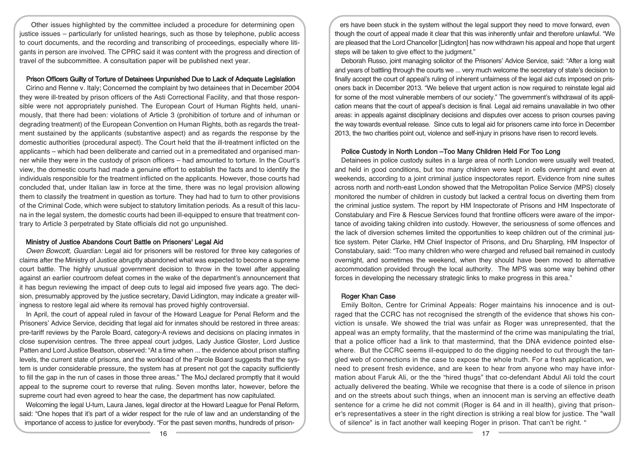Other issues highlighted by the committee included a procedure for determining open justice issues – particularly for unlisted hearings, such as those by telephone, public access to court documents, and the recording and transcribing of proceedings, especially where litigants in person are involved. The CPRC said it was content with the progress and direction of travel of the subcommittee. A consultation paper will be published next year.

## Prison Officers Guilty of Torture of Detainees Unpunished Due to Lack of Adequate Legislation

Cirino and Renne v. Italy; Concerned the complaint by two detainees that in December 2004 they were ill-treated by prison officers of the Asti Correctional Facility, and that those responsible were not appropriately punished. The European Court of Human Rights held, unanimously, that there had been: violations of Article 3 (prohibition of torture and of inhuman or degrading treatment) of the European Convention on Human Rights, both as regards the treatment sustained by the applicants (substantive aspect) and as regards the response by the domestic authorities (procedural aspect). The Court held that the ill-treatment inflicted on the applicants – which had been deliberate and carried out in a premeditated and organised manner while they were in the custody of prison officers – had amounted to torture. In the Court's view, the domestic courts had made a genuine effort to establish the facts and to identify the individuals responsible for the treatment inflicted on the applicants. However, those courts had concluded that, under Italian law in force at the time, there was no legal provision allowing them to classify the treatment in question as torture. They had had to turn to other provisions of the Criminal Code, which were subject to statutory limitation periods. As a result of this lacuna in the legal system, the domestic courts had been ill-equipped to ensure that treatment contrary to Article 3 perpetrated by State officials did not go unpunished.

# Ministry of Justice Abandons Court Battle on Prisoners' Legal Aid

Owen Bowcott, Guardian: Legal aid for prisoners will be restored for three key categories of claims after the Ministry of Justice abruptly abandoned what was expected to become a supreme court battle. The highly unusual government decision to throw in the towel after appealing against an earlier courtroom defeat comes in the wake of the department's announcement that it has begun reviewing the impact of deep cuts to legal aid imposed five years ago. The decision, presumably approved by the justice secretary, David Lidington, may indicate a greater willingness to restore legal aid where its removal has proved highly controversial.

In April, the court of appeal ruled in favour of the Howard League for Penal Reform and the Prisoners' Advice Service, deciding that legal aid for inmates should be restored in three areas: pre-tariff reviews by the Parole Board, category-A reviews and decisions on placing inmates in close supervision centres. The three appeal court judges, Lady Justice Gloster, Lord Justice Patten and Lord Justice Beatson, observed: "At a time when ... the evidence about prison staffing levels, the current state of prisons, and the workload of the Parole Board suggests that the system is under considerable pressure, the system has at present not got the capacity sufficiently to fill the gap in the run of cases in those three areas." The MoJ declared promptly that it would appeal to the supreme court to reverse that ruling. Seven months later, however, before the supreme court had even agreed to hear the case, the department has now capitulated.

Welcoming the legal U-turn, Laura Janes, legal director at the Howard League for Penal Reform, said: "One hopes that it's part of a wider respect for the rule of law and an understanding of the importance of access to justice for everybody. "For the past seven months, hundreds of prison-

ers have been stuck in the system without the legal support they need to move forward, even though the court of appeal made it clear that this was inherently unfair and therefore unlawful. "We are pleased that the Lord Chancellor [Lidington] has now withdrawn his appeal and hope that urgent steps will be taken to give effect to the judgment."

Deborah Russo, joint managing solicitor of the Prisoners' Advice Service, said: "After a long wait and years of battling through the courts we ... very much welcome the secretary of state's decision to finally accept the court of appeal's ruling of inherent unfairness of the legal aid cuts imposed on prisoners back in December 2013. "We believe that urgent action is now required to reinstate legal aid for some of the most vulnerable members of our society." The government's withdrawal of its application means that the court of appeal's decision is final. Legal aid remains unavailable in two other areas: in appeals against disciplinary decisions and disputes over access to prison courses paving the way towards eventual release. Since cuts to legal aid for prisoners came into force in December 2013, the two charities point out, violence and self-injury in prisons have risen to record levels.

#### Police Custody in North London –Too Many Children Held For Too Long

Detainees in police custody suites in a large area of north London were usually well treated, and held in good conditions, but too many children were kept in cells overnight and even at weekends, according to a joint criminal justice inspectorates report. Evidence from nine suites across north and north-east London showed that the Metropolitan Police Service (MPS) closely monitored the number of children in custody but lacked a central focus on diverting them from the criminal justice system. The report by HM Inspectorate of Prisons and HM Inspectorate of Constabulary and Fire & Rescue Services found that frontline officers were aware of the importance of avoiding taking children into custody. However, the seriousness of some offences and the lack of diversion schemes limited the opportunities to keep children out of the criminal justice system. Peter Clarke, HM Chief Inspector of Prisons, and Dru Sharpling, HM Inspector of Constabulary, said: "Too many children who were charged and refused bail remained in custody overnight, and sometimes the weekend, when they should have been moved to alternative accommodation provided through the local authority. The MPS was some way behind other forces in developing the necessary strategic links to make progress in this area."

# Roger Khan Case

Emily Bolton, Centre for Criminal Appeals: Roger maintains his innocence and is outraged that the CCRC has not recognised the strength of the evidence that shows his conviction is unsafe. We showed the trial was unfair as Roger was unrepresented, that the appeal was an empty formality, that the mastermind of the crime was manipulating the trial, that a police officer had a link to that mastermind, that the DNA evidence pointed elsewhere. But the CCRC seems ill-equipped to do the digging needed to cut through the tangled web of connections in the case to expose the whole truth. For a fresh application, we need to present fresh evidence, and are keen to hear from anyone who may have information about Faruk Ali, or the the "hired thugs" that co-defendant Abdul Ali told the court actually delivered the beating. While we recognise that there is a code of silence in prison and on the streets about such things, when an innocent man is serving an effective death sentence for a crime he did not commit (Roger is 64 and in ill health), giving that prisoner's representatives a steer in the right direction is striking a real blow for justice. The "wall of silence" is in fact another wall keeping Roger in prison. That can't be right. "